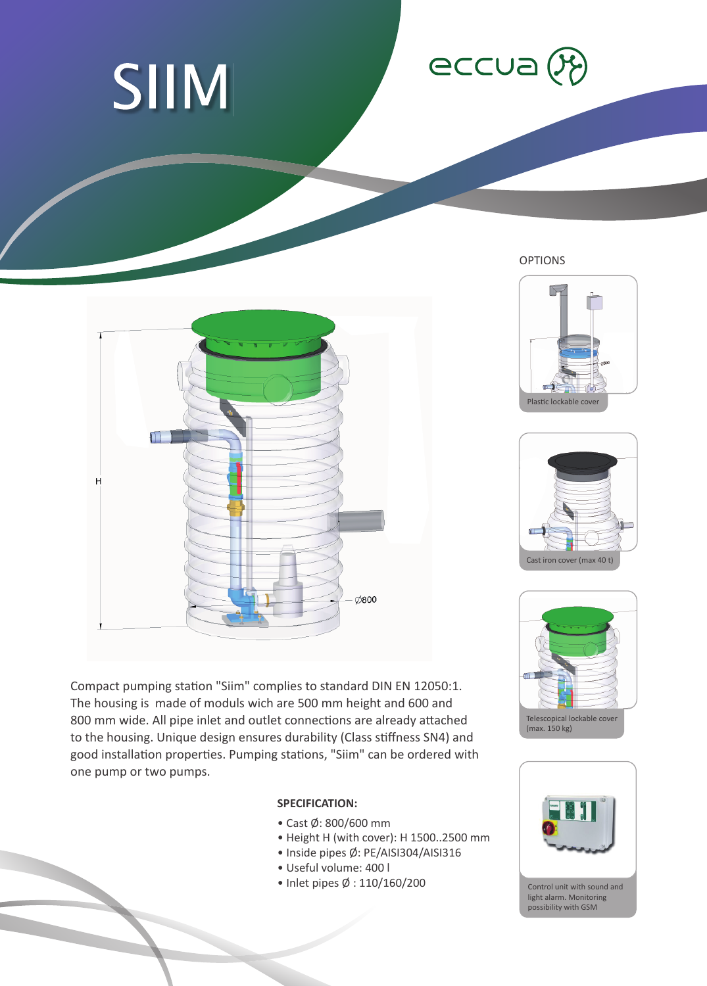





Compact pumping station "Siim" complies to standard DIN EN 12050:1. The housing is made of moduls wich are 500 mm height and 600 and 800 mm wide. All pipe inlet and outlet connections are already attached to the housing. Unique design ensures durability (Class stiffness SN4) and good installation properties. Pumping stations, "Siim" can be ordered with one pump or two pumps.

## **SPECIFICATION:**

- Cast Ø: 800/600 mm
- Height H (with cover): H 1500..2500 mm
- Inside pipes Ø: PE/AISI304/AISI316
- Useful volume: 400 l
- Inlet pipes Ø : 110/160/200

OPTIONS